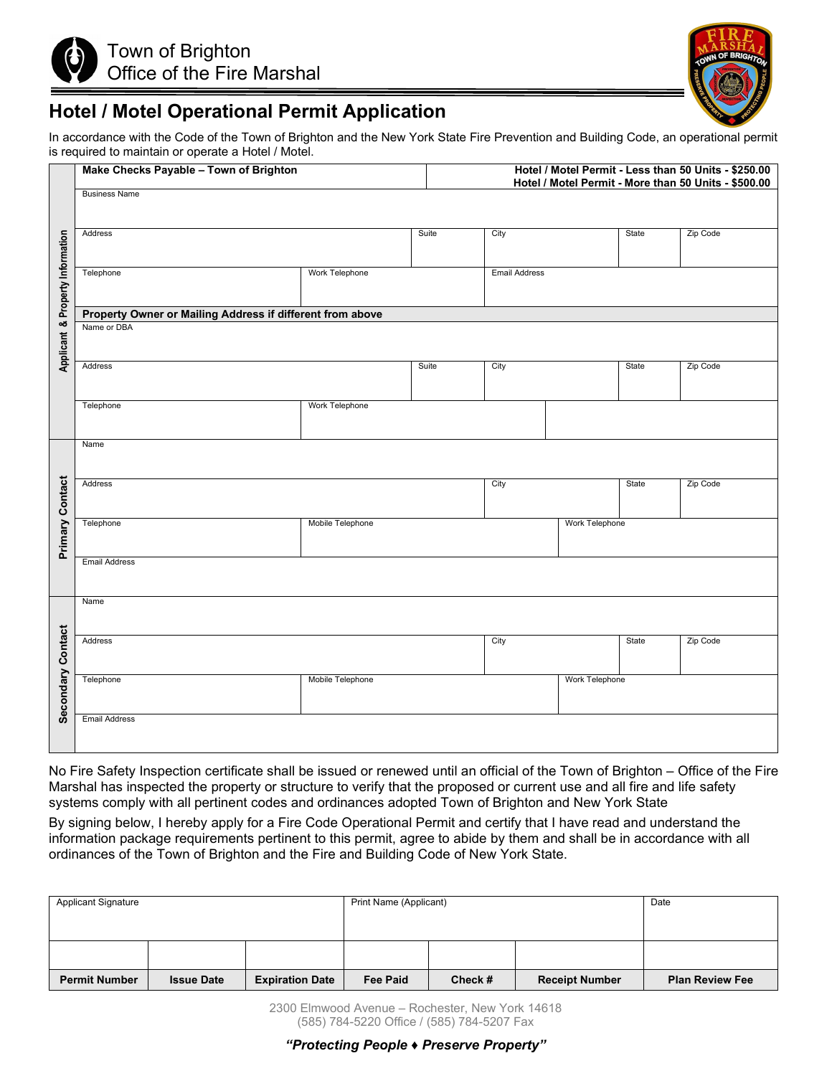



## **Hotel / Motel Operational Permit Application**

In accordance with the Code of the Town of Brighton and the New York State Fire Prevention and Building Code, an operational permit is required to maintain or operate a Hotel / Motel.

|                      | Make Checks Payable - Town of Brighton                                                                                                                                                                                                                                                                                                                           |                       |                      | Hotel / Motel Permit - Less than 50 Units - \$250.00<br>Hotel / Motel Permit - More than 50 Units - \$500.00 |                |          |          |  |  |  |  |
|----------------------|------------------------------------------------------------------------------------------------------------------------------------------------------------------------------------------------------------------------------------------------------------------------------------------------------------------------------------------------------------------|-----------------------|----------------------|--------------------------------------------------------------------------------------------------------------|----------------|----------|----------|--|--|--|--|
|                      | <b>Business Name</b>                                                                                                                                                                                                                                                                                                                                             |                       |                      |                                                                                                              |                |          |          |  |  |  |  |
|                      | Address                                                                                                                                                                                                                                                                                                                                                          | Suite                 | City                 |                                                                                                              | State          | Zip Code |          |  |  |  |  |
| Property Information | Telephone                                                                                                                                                                                                                                                                                                                                                        |                       | <b>Email Address</b> |                                                                                                              |                |          |          |  |  |  |  |
|                      |                                                                                                                                                                                                                                                                                                                                                                  |                       |                      |                                                                                                              |                |          |          |  |  |  |  |
| œ<br>Applicant       | Property Owner or Mailing Address if different from above<br>Name or DBA                                                                                                                                                                                                                                                                                         |                       |                      |                                                                                                              |                |          |          |  |  |  |  |
|                      | Address                                                                                                                                                                                                                                                                                                                                                          |                       | Suite                | City                                                                                                         |                | State    | Zip Code |  |  |  |  |
|                      | Telephone                                                                                                                                                                                                                                                                                                                                                        | <b>Work Telephone</b> |                      |                                                                                                              |                |          |          |  |  |  |  |
|                      | Name                                                                                                                                                                                                                                                                                                                                                             |                       |                      |                                                                                                              |                |          |          |  |  |  |  |
| Contact              | Address                                                                                                                                                                                                                                                                                                                                                          |                       |                      | City                                                                                                         |                | State    | Zip Code |  |  |  |  |
| Primary              | Telephone                                                                                                                                                                                                                                                                                                                                                        | Mobile Telephone      |                      |                                                                                                              | Work Telephone |          |          |  |  |  |  |
|                      | <b>Email Address</b>                                                                                                                                                                                                                                                                                                                                             |                       |                      |                                                                                                              |                |          |          |  |  |  |  |
| Name                 |                                                                                                                                                                                                                                                                                                                                                                  |                       |                      |                                                                                                              |                |          |          |  |  |  |  |
| Contact              | Address                                                                                                                                                                                                                                                                                                                                                          |                       |                      | City                                                                                                         |                | State    | Zip Code |  |  |  |  |
| econdary             | Telephone<br>Mobile Telephone                                                                                                                                                                                                                                                                                                                                    |                       |                      | Work Telephone                                                                                               |                |          |          |  |  |  |  |
|                      | <b>Email Address</b>                                                                                                                                                                                                                                                                                                                                             |                       |                      |                                                                                                              |                |          |          |  |  |  |  |
|                      | No Fire Safety Inspection certificate shall be issued or renewed until an official of the Town of Brighton – Office of the Fire<br>Marshal has inspected the property or structure to verify that the proposed or current use and all fire and life safety<br>systems comply with all pertinent codes and ordinances adopted Town of Brighton and New York State |                       |                      |                                                                                                              |                |          |          |  |  |  |  |
|                      | By signing below, I hereby apply for a Fire Code Operational Permit and certify that I have read and understand the<br>information package requirements pertinent to this permit, agree to abide by them and shall be in accordance with all<br>ordinances of the Town of Brighton and the Fire and Building Code of New York State.                             |                       |                      |                                                                                                              |                |          |          |  |  |  |  |

| <b>Applicant Signature</b> |                   |                        | Print Name (Applicant) | Date    |                       |                        |
|----------------------------|-------------------|------------------------|------------------------|---------|-----------------------|------------------------|
|                            |                   |                        |                        |         |                       |                        |
|                            |                   |                        |                        |         |                       |                        |
| <b>Permit Number</b>       | <b>Issue Date</b> | <b>Expiration Date</b> | <b>Fee Paid</b>        | Check # | <b>Receipt Number</b> | <b>Plan Review Fee</b> |

2300 Elmwood Avenue – Rochester, New York 14618 (585) 784-5220 Office / (585) 784-5207 Fax